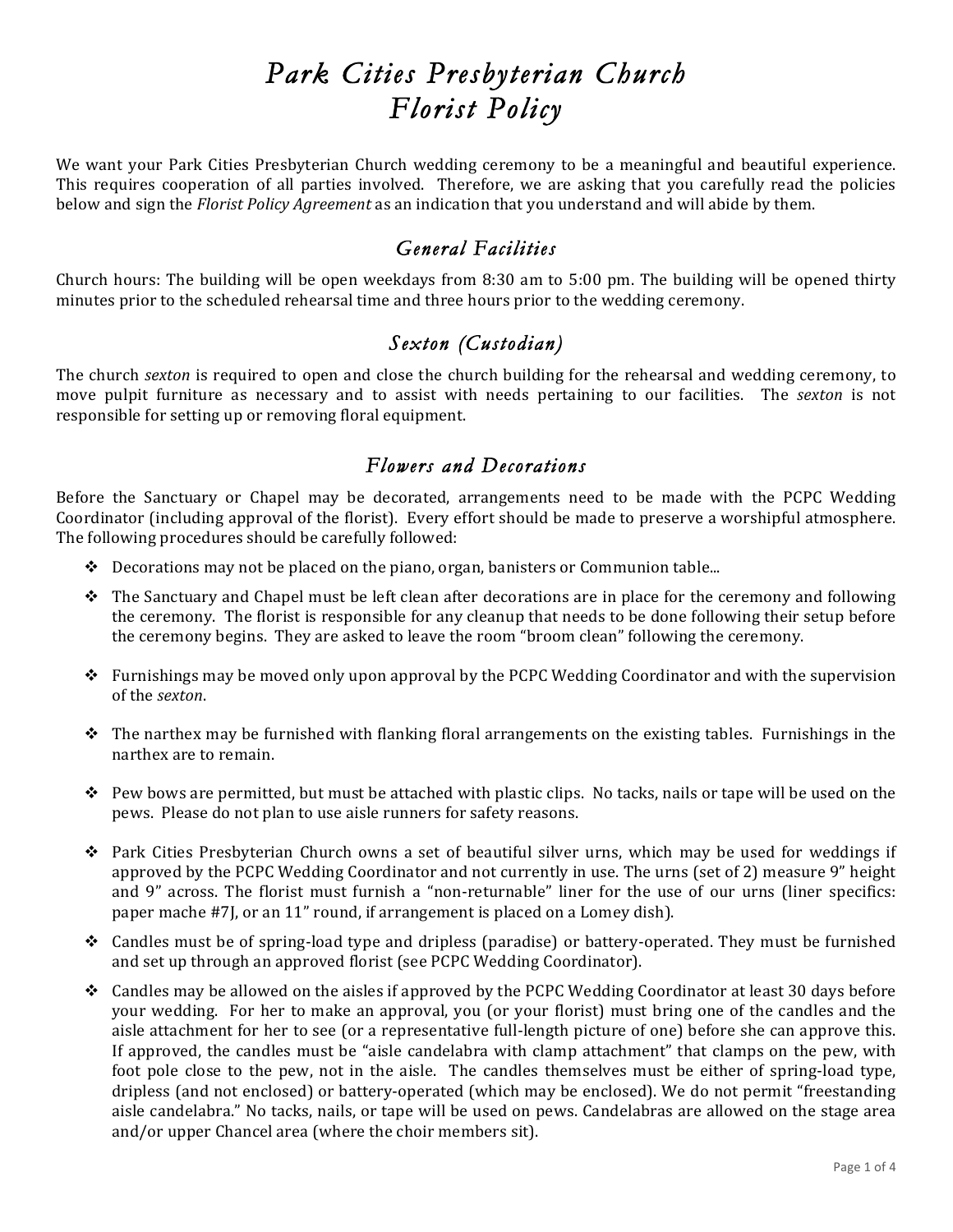# *Park Cities Presbyterian Church Florist Policy*

We want your Park Cities Presbyterian Church wedding ceremony to be a meaningful and beautiful experience. This requires cooperation of all parties involved. Therefore, we are asking that you carefully read the policies below and sign the *Florist Policy Agreement* as an indication that you understand and will abide by them.

### *General Facilities*

Church hours: The building will be open weekdays from 8:30 am to 5:00 pm. The building will be opened thirty minutes prior to the scheduled rehearsal time and three hours prior to the wedding ceremony.

## *Sexton (Custodian)*

The church *sexton* is required to open and close the church building for the rehearsal and wedding ceremony, to move pulpit furniture as necessary and to assist with needs pertaining to our facilities. The *sexton* is not responsible for setting up or removing floral equipment.

## *Flowers and Decorations*

Before the Sanctuary or Chapel may be decorated, arrangements need to be made with the PCPC Wedding Coordinator (including approval of the florist). Every effort should be made to preserve a worshipful atmosphere. The following procedures should be carefully followed:

- $\div$  Decorations may not be placed on the piano, organ, banisters or Communion table...
- $\div$  The Sanctuary and Chapel must be left clean after decorations are in place for the ceremony and following the ceremony. The florist is responsible for any cleanup that needs to be done following their setup before the ceremony begins. They are asked to leave the room "broom clean" following the ceremony.
- $\cdot$  Furnishings may be moved only upon approval by the PCPC Wedding Coordinator and with the supervision of the *sexton*.
- $\cdot$  The narthex may be furnished with flanking floral arrangements on the existing tables. Furnishings in the narthex are to remain.
- $\div$  Pew bows are permitted, but must be attached with plastic clips. No tacks, nails or tape will be used on the pews. Please do not plan to use aisle runners for safety reasons.
- $\div$  Park Cities Presbyterian Church owns a set of beautiful silver urns, which may be used for weddings if approved by the PCPC Wedding Coordinator and not currently in use. The urns (set of 2) measure 9" height and  $9$ " across. The florist must furnish a "non-returnable" liner for the use of our urns (liner specifics: paper mache #7J, or an 11" round, if arrangement is placed on a Lomey dish).
- \* Candles must be of spring-load type and dripless (paradise) or battery-operated. They must be furnished and set up through an approved florist (see PCPC Wedding Coordinator).
- $\div$  Candles may be allowed on the aisles if approved by the PCPC Wedding Coordinator at least 30 days before your wedding. For her to make an approval, you (or your florist) must bring one of the candles and the aisle attachment for her to see (or a representative full-length picture of one) before she can approve this. If approved, the candles must be "aisle candelabra with clamp attachment" that clamps on the pew, with foot pole close to the pew, not in the aisle. The candles themselves must be either of spring-load type, dripless (and not enclosed) or battery-operated (which may be enclosed). We do not permit "freestanding aisle candelabra." No tacks, nails, or tape will be used on pews. Candelabras are allowed on the stage area and/or upper Chancel area (where the choir members sit).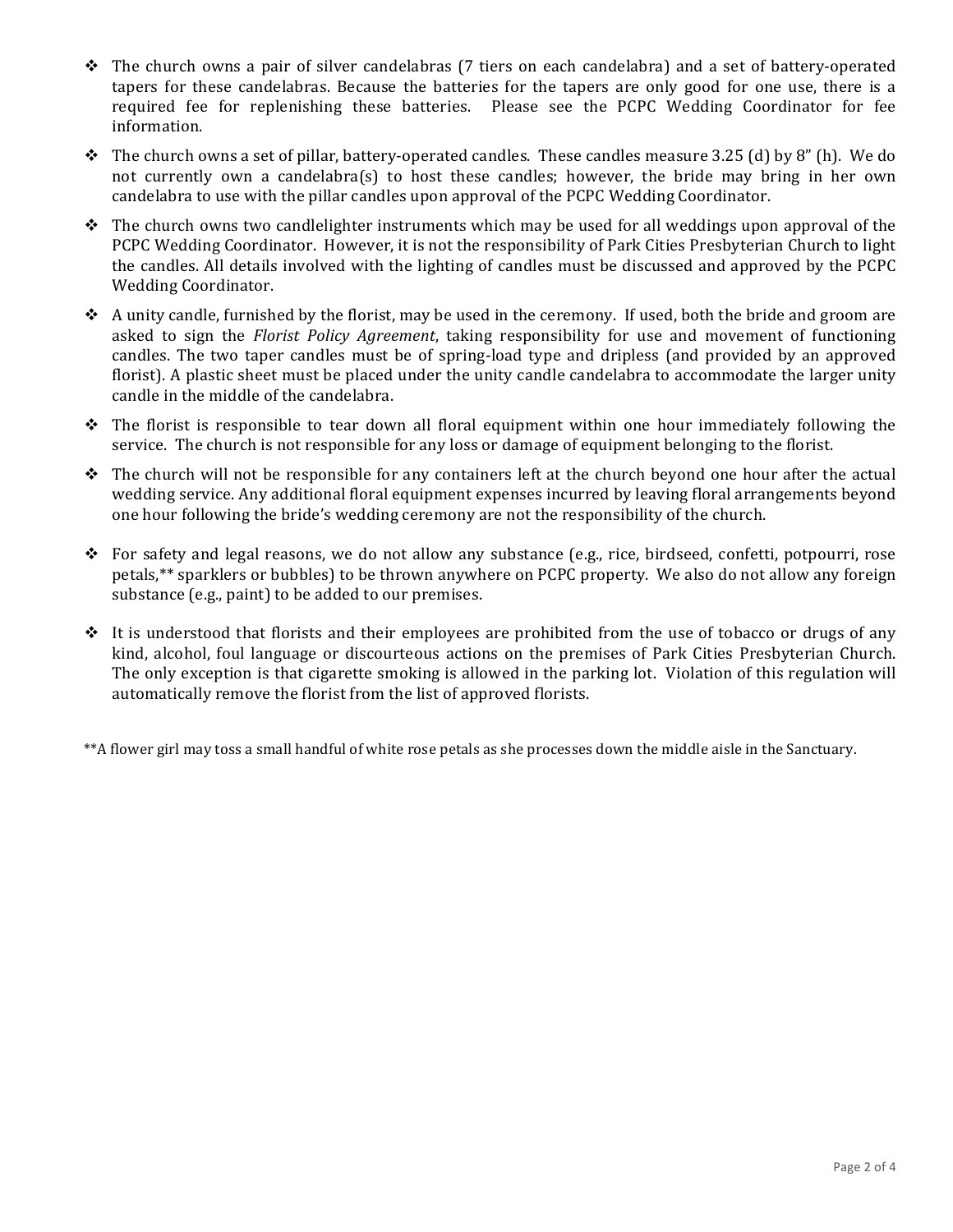- $\div$  The church owns a pair of silver candelabras (7 tiers on each candelabra) and a set of battery-operated tapers for these candelabras. Because the batteries for the tapers are only good for one use, there is a required fee for replenishing these batteries. Please see the PCPC Wedding Coordinator for fee information.
- $\div$  The church owns a set of pillar, battery-operated candles. These candles measure 3.25 (d) by 8" (h). We do not currently own a candelabra(s) to host these candles; however, the bride may bring in her own candelabra to use with the pillar candles upon approval of the PCPC Wedding Coordinator.
- $\div$  The church owns two candlelighter instruments which may be used for all weddings upon approval of the PCPC Wedding Coordinator. However, it is not the responsibility of Park Cities Presbyterian Church to light the candles. All details involved with the lighting of candles must be discussed and approved by the PCPC Wedding Coordinator.
- $\div$  A unity candle, furnished by the florist, may be used in the ceremony. If used, both the bride and groom are asked to sign the *Florist Policy Agreement*, taking responsibility for use and movement of functioning candles. The two taper candles must be of spring-load type and dripless (and provided by an approved florist). A plastic sheet must be placed under the unity candle candelabra to accommodate the larger unity candle in the middle of the candelabra.
- $\div$  The florist is responsible to tear down all floral equipment within one hour immediately following the service. The church is not responsible for any loss or damage of equipment belonging to the florist.
- $\cdot$  The church will not be responsible for any containers left at the church beyond one hour after the actual wedding service. Any additional floral equipment expenses incurred by leaving floral arrangements beyond one hour following the bride's wedding ceremony are not the responsibility of the church.
- $\bullet$  For safety and legal reasons, we do not allow any substance (e.g., rice, birdseed, confetti, potpourri, rose petals,\*\* sparklers or bubbles) to be thrown anywhere on PCPC property. We also do not allow any foreign substance (e.g., paint) to be added to our premises.
- $\div$  It is understood that florists and their employees are prohibited from the use of tobacco or drugs of any kind, alcohol, foul language or discourteous actions on the premises of Park Cities Presbyterian Church. The only exception is that cigarette smoking is allowed in the parking lot. Violation of this regulation will automatically remove the florist from the list of approved florists.

\*\*A flower girl may toss a small handful of white rose petals as she processes down the middle aisle in the Sanctuary.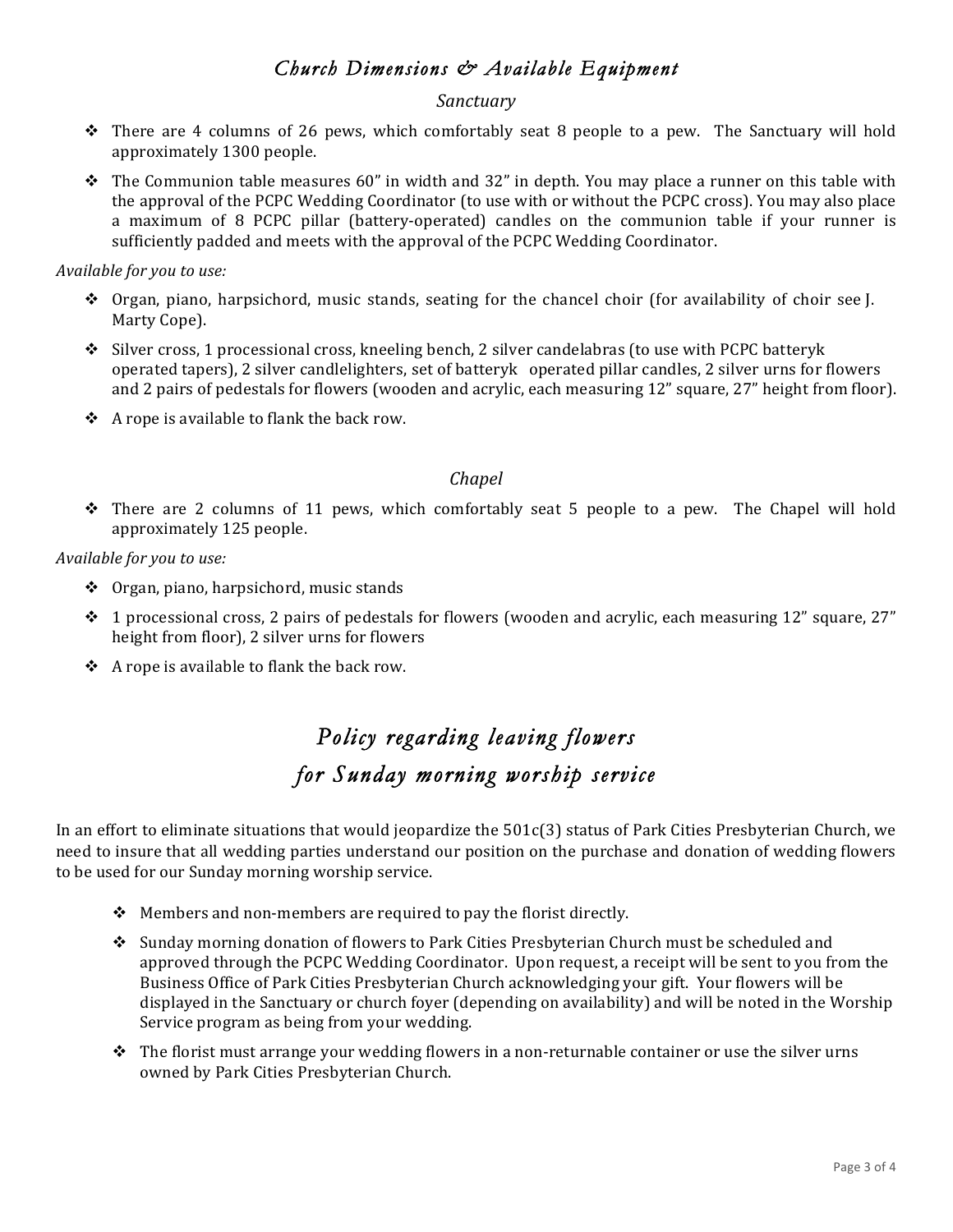## *Church Dimensions & Available Equipment*

#### *Sanctuary*

- $\div$  There are 4 columns of 26 pews, which comfortably seat 8 people to a pew. The Sanctuary will hold approximately 1300 people.
- $\div$  The Communion table measures 60" in width and 32" in depth. You may place a runner on this table with the approval of the PCPC Wedding Coordinator (to use with or without the PCPC cross). You may also place a maximum of 8 PCPC pillar (battery-operated) candles on the communion table if your runner is sufficiently padded and meets with the approval of the PCPC Wedding Coordinator.

#### *Available for you to use:*

- ◆ Organ, piano, harpsichord, music stands, seating for the chancel choir (for availability of choir see J. Marty Cope).
- $\div$  Silver cross, 1 processional cross, kneeling bench, 2 silver candelabras (to use with PCPC batteryk operated tapers), 2 silver candlelighters, set of batteryk operated pillar candles, 2 silver urns for flowers and 2 pairs of pedestals for flowers (wooden and acrylic, each measuring 12" square, 27" height from floor).
- $\triangle$  A rope is available to flank the back row.

#### *Chapel*

 $\div$  There are 2 columns of 11 pews, which comfortably seat 5 people to a pew. The Chapel will hold approximately 125 people.

#### *Available for you to use:*

- $\div$  Organ, piano, harpsichord, music stands
- $\div$  1 processional cross, 2 pairs of pedestals for flowers (wooden and acrylic, each measuring 12" square, 27" height from floor), 2 silver urns for flowers
- $\div$  A rope is available to flank the back row.

## *Policy regarding leaving flowers for Sunday morning worship service*

In an effort to eliminate situations that would jeopardize the  $501c(3)$  status of Park Cities Presbyterian Church, we need to insure that all wedding parties understand our position on the purchase and donation of wedding flowers to be used for our Sunday morning worship service.

- $\triangleleft$  Members and non-members are required to pay the florist directly.
- \* Sunday morning donation of flowers to Park Cities Presbyterian Church must be scheduled and approved through the PCPC Wedding Coordinator. Upon request, a receipt will be sent to you from the Business Office of Park Cities Presbyterian Church acknowledging your gift. Your flowers will be displayed in the Sanctuary or church foyer (depending on availability) and will be noted in the Worship Service program as being from your wedding.
- $\cdot$  The florist must arrange your wedding flowers in a non-returnable container or use the silver urns owned by Park Cities Presbyterian Church.